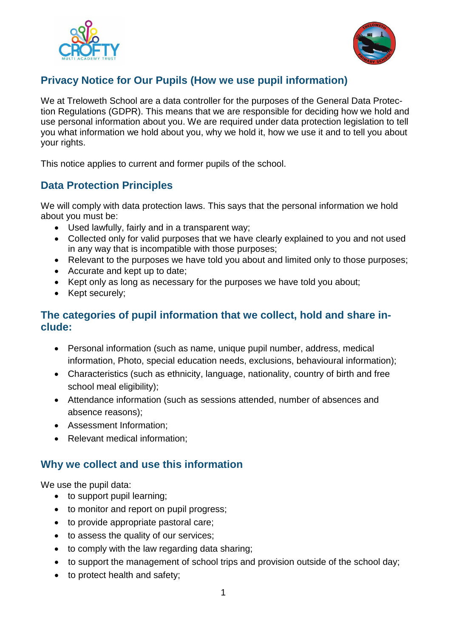



## **Privacy Notice for Our Pupils (How we use pupil information)**

We at Treloweth School are a data controller for the purposes of the General Data Protection Regulations (GDPR). This means that we are responsible for deciding how we hold and use personal information about you. We are required under data protection legislation to tell you what information we hold about you, why we hold it, how we use it and to tell you about your rights.

This notice applies to current and former pupils of the school.

## **Data Protection Principles**

We will comply with data protection laws. This says that the personal information we hold about you must be:

- Used lawfully, fairly and in a transparent way;
- Collected only for valid purposes that we have clearly explained to you and not used in any way that is incompatible with those purposes;
- Relevant to the purposes we have told you about and limited only to those purposes;
- Accurate and kept up to date;
- Kept only as long as necessary for the purposes we have told you about;
- Kept securely;

### **The categories of pupil information that we collect, hold and share include:**

- Personal information (such as name, unique pupil number, address, medical information, Photo, special education needs, exclusions, behavioural information);
- Characteristics (such as ethnicity, language, nationality, country of birth and free school meal eligibility);
- Attendance information (such as sessions attended, number of absences and absence reasons);
- Assessment Information;
- Relevant medical information;

### **Why we collect and use this information**

We use the pupil data:

- to support pupil learning;
- to monitor and report on pupil progress;
- to provide appropriate pastoral care;
- to assess the quality of our services;
- to comply with the law regarding data sharing;
- to support the management of school trips and provision outside of the school day;
- to protect health and safety;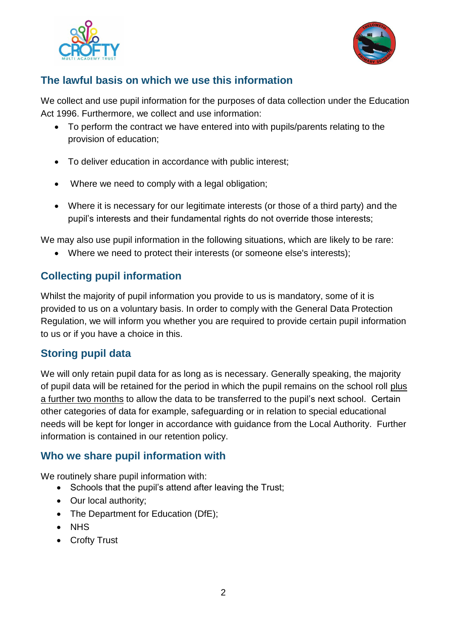



## **The lawful basis on which we use this information**

We collect and use pupil information for the purposes of data collection under the Education Act 1996. Furthermore, we collect and use information:

- To perform the contract we have entered into with pupils/parents relating to the provision of education;
- To deliver education in accordance with public interest;
- Where we need to comply with a legal obligation;
- Where it is necessary for our legitimate interests (or those of a third party) and the pupil's interests and their fundamental rights do not override those interests;

We may also use pupil information in the following situations, which are likely to be rare:

Where we need to protect their interests (or someone else's interests);

# **Collecting pupil information**

Whilst the majority of pupil information you provide to us is mandatory, some of it is provided to us on a voluntary basis. In order to comply with the General Data Protection Regulation, we will inform you whether you are required to provide certain pupil information to us or if you have a choice in this.

## **Storing pupil data**

We will only retain pupil data for as long as is necessary. Generally speaking, the majority of pupil data will be retained for the period in which the pupil remains on the school roll plus a further two months to allow the data to be transferred to the pupil's next school. Certain other categories of data for example, safeguarding or in relation to special educational needs will be kept for longer in accordance with guidance from the Local Authority. Further information is contained in our retention policy.

## **Who we share pupil information with**

We routinely share pupil information with:

- Schools that the pupil's attend after leaving the Trust;
- Our local authority;
- The Department for Education (DfE);
- NHS
- Crofty Trust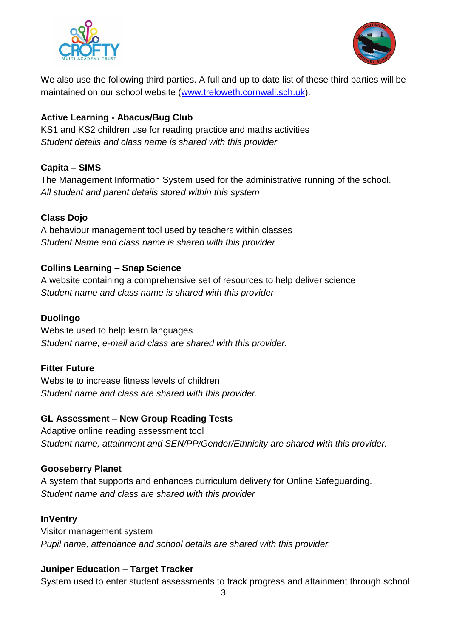



We also use the following third parties. A full and up to date list of these third parties will be maintained on our school website [\(www.treloweth.cornwall.sch.uk\)](http://www.treloweth.cornwall.sch.uk/).

### **Active Learning - Abacus/Bug Club**

KS1 and KS2 children use for reading practice and maths activities *Student details and class name is shared with this provider*

### **Capita – SIMS**

The Management Information System used for the administrative running of the school. *All student and parent details stored within this system*

#### **Class Dojo**

A behaviour management tool used by teachers within classes *Student Name and class name is shared with this provider*

#### **Collins Learning – Snap Science**

A website containing a comprehensive set of resources to help deliver science *Student name and class name is shared with this provider*

### **Duolingo**

Website used to help learn languages *Student name, e-mail and class are shared with this provider.*

### **Fitter Future**

Website to increase fitness levels of children *Student name and class are shared with this provider.* 

#### **GL Assessment – New Group Reading Tests**

Adaptive online reading assessment tool *Student name, attainment and SEN/PP/Gender/Ethnicity are shared with this provider.* 

#### **Gooseberry Planet**

A system that supports and enhances curriculum delivery for Online Safeguarding. *Student name and class are shared with this provider*

#### **InVentry**

Visitor management system *Pupil name, attendance and school details are shared with this provider.* 

### **Juniper Education – Target Tracker**

System used to enter student assessments to track progress and attainment through school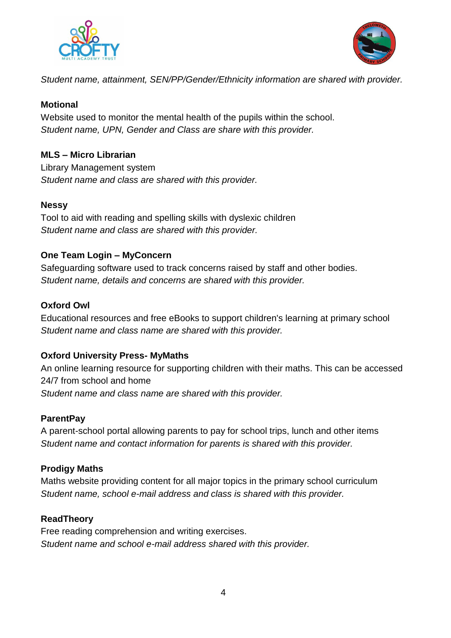



*Student name, attainment, SEN/PP/Gender/Ethnicity information are shared with provider.*

#### **Motional**

Website used to monitor the mental health of the pupils within the school. *Student name, UPN, Gender and Class are share with this provider.*

#### **MLS – Micro Librarian**

Library Management system *Student name and class are shared with this provider.*

#### **Nessy**

Tool to aid with reading and spelling skills with dyslexic children *Student name and class are shared with this provider.*

#### **One Team Login – MyConcern**

Safeguarding software used to track concerns raised by staff and other bodies. *Student name, details and concerns are shared with this provider.*

#### **Oxford Owl**

Educational resources and free eBooks to support children's learning at primary school *Student name and class name are shared with this provider.*

#### **Oxford University Press- MyMaths**

An online learning resource for supporting children with their maths. This can be accessed 24/7 from school and home *Student name and class name are shared with this provider.*

#### **ParentPay**

A parent-school portal allowing parents to pay for school trips, lunch and other items *Student name and contact information for parents is shared with this provider.*

#### **Prodigy Maths**

Maths website providing content for all major topics in the primary school curriculum *Student name, school e-mail address and class is shared with this provider.*

#### **ReadTheory**

Free reading comprehension and writing exercises. *Student name and school e-mail address shared with this provider.*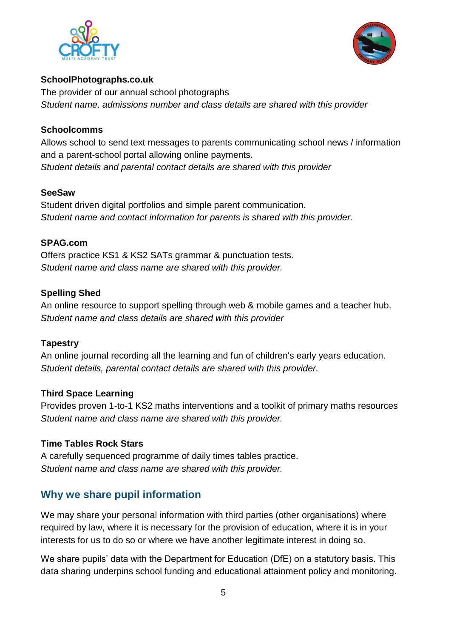



#### **SchoolPhotographs.co.uk**

The provider of our annual school photographs *Student name, admissions number and class details are shared with this provider*

#### **Schoolcomms**

Allows school to send text messages to parents communicating school news / information and a parent-school portal allowing online payments. *Student details and parental contact details are shared with this provider*

#### **SeeSaw**

Student driven digital portfolios and simple parent communication. *Student name and contact information for parents is shared with this provider.*

#### **SPAG.com**

Offers practice KS1 & KS2 SATs grammar & punctuation tests. *Student name and class name are shared with this provider.*

#### **Spelling Shed**

An online resource to support spelling through web & mobile games and a teacher hub. *Student name and class details are shared with this provider*

#### **Tapestry**

An online journal recording all the learning and fun of children's early years education. *Student details, parental contact details are shared with this provider.*

#### **Third Space Learning**

Provides proven 1-to-1 KS2 maths interventions and a toolkit of primary maths resources *Student name and class name are shared with this provider.*

#### **Time Tables Rock Stars**

A carefully sequenced programme of daily times tables practice. *Student name and class name are shared with this provider.*

## **Why we share pupil information**

We may share your personal information with third parties (other organisations) where required by law, where it is necessary for the provision of education, where it is in your interests for us to do so or where we have another legitimate interest in doing so.

We share pupils' data with the Department for Education (DfE) on a statutory basis. This data sharing underpins school funding and educational attainment policy and monitoring.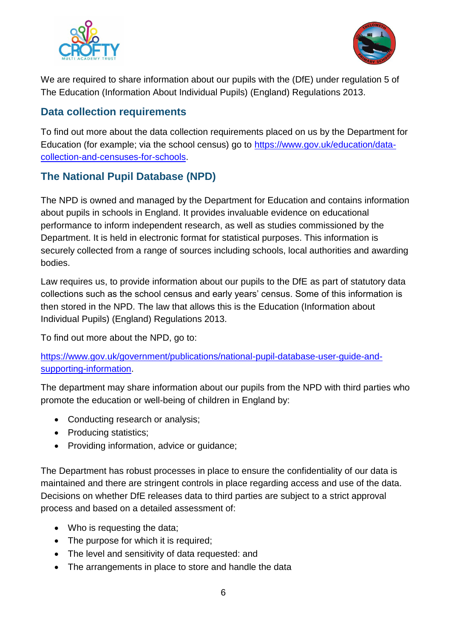



We are required to share information about our pupils with the (DfE) under regulation 5 of The Education (Information About Individual Pupils) (England) Regulations 2013.

## **Data collection requirements**

To find out more about the data collection requirements placed on us by the Department for Education (for example; via the school census) go to [https://www.gov.uk/education/data](https://www.gov.uk/education/data-collection-and-censuses-for-schools)[collection-and-censuses-for-schools.](https://www.gov.uk/education/data-collection-and-censuses-for-schools)

# **The National Pupil Database (NPD)**

The NPD is owned and managed by the Department for Education and contains information about pupils in schools in England. It provides invaluable evidence on educational performance to inform independent research, as well as studies commissioned by the Department. It is held in electronic format for statistical purposes. This information is securely collected from a range of sources including schools, local authorities and awarding bodies.

Law requires us, to provide information about our pupils to the DfE as part of statutory data collections such as the school census and early years' census. Some of this information is then stored in the NPD. The law that allows this is the Education (Information about Individual Pupils) (England) Regulations 2013.

To find out more about the NPD, go to:

[https://www.gov.uk/government/publications/national-pupil-database-user-guide-and](https://www.gov.uk/government/publications/national-pupil-database-user-guide-and-supporting-information)[supporting-information.](https://www.gov.uk/government/publications/national-pupil-database-user-guide-and-supporting-information)

The department may share information about our pupils from the NPD with third parties who promote the education or well-being of children in England by:

- Conducting research or analysis;
- Producing statistics;
- Providing information, advice or quidance;

The Department has robust processes in place to ensure the confidentiality of our data is maintained and there are stringent controls in place regarding access and use of the data. Decisions on whether DfE releases data to third parties are subject to a strict approval process and based on a detailed assessment of:

- Who is requesting the data:
- The purpose for which it is required;
- The level and sensitivity of data requested: and
- The arrangements in place to store and handle the data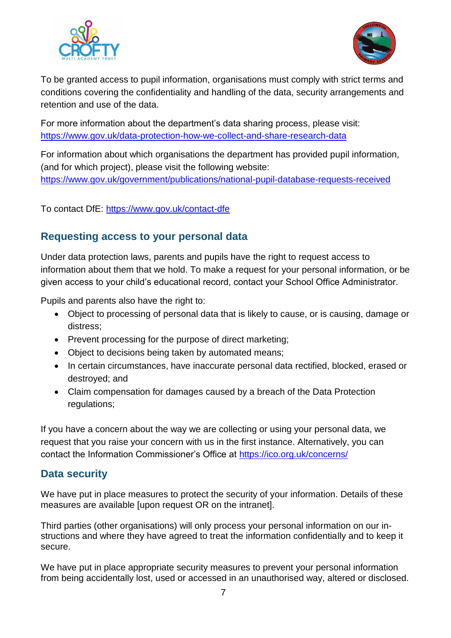



To be granted access to pupil information, organisations must comply with strict terms and conditions covering the confidentiality and handling of the data, security arrangements and retention and use of the data.

For more information about the department's data sharing process, please visit: <https://www.gov.uk/data-protection-how-we-collect-and-share-research-data>

For information about which organisations the department has provided pupil information, (and for which project), please visit the following website: <https://www.gov.uk/government/publications/national-pupil-database-requests-received>

To contact DfE:<https://www.gov.uk/contact-dfe>

## **Requesting access to your personal data**

Under data protection laws, parents and pupils have the right to request access to information about them that we hold. To make a request for your personal information, or be given access to your child's educational record, contact your School Office Administrator.

Pupils and parents also have the right to:

- Object to processing of personal data that is likely to cause, or is causing, damage or distress;
- Prevent processing for the purpose of direct marketing:
- Object to decisions being taken by automated means:
- In certain circumstances, have inaccurate personal data rectified, blocked, erased or destroyed; and
- Claim compensation for damages caused by a breach of the Data Protection regulations;

If you have a concern about the way we are collecting or using your personal data, we request that you raise your concern with us in the first instance. Alternatively, you can contact the Information Commissioner's Office at<https://ico.org.uk/concerns/>

## **Data security**

We have put in place measures to protect the security of your information. Details of these measures are available [upon request OR on the intranet].

Third parties (other organisations) will only process your personal information on our instructions and where they have agreed to treat the information confidentially and to keep it secure.

We have put in place appropriate security measures to prevent your personal information from being accidentally lost, used or accessed in an unauthorised way, altered or disclosed.